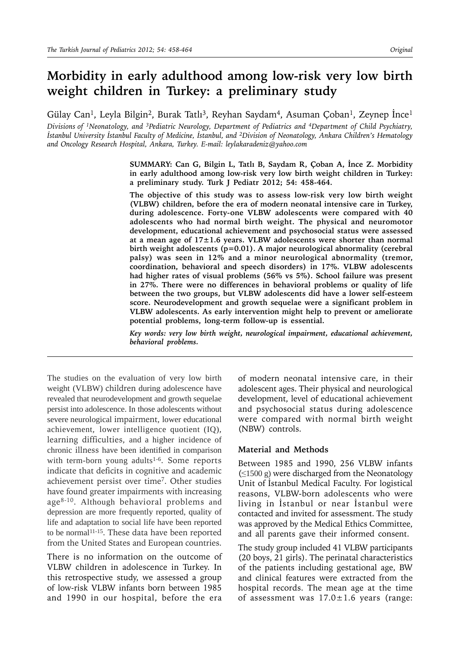# **Morbidity in early adulthood among low-risk very low birth weight children in Turkey: a preliminary study**

Gülay Can<sup>1</sup>, Leyla Bilgin<sup>2</sup>, Burak Tatlı<sup>3</sup>, Reyhan Saydam<sup>4</sup>, Asuman Çoban<sup>1</sup>, Zeynep İnce<sup>1</sup>

*Divisions of 1Neonatology, and 3Pediatric Neurology, Department of Pediatrics and 4Department of Child Psychiatry, İstanbul University İstanbul Faculty of Medicine, İstanbul, and 2Division of Neonatology, Ankara Children's Hematology and Oncology Research Hospital, Ankara, Turkey. E-mail: leylakaradeniz@yahoo.com*

> **SUMMARY: Can G, Bilgin L, Tatlı B, Saydam R, Çoban A, İnce Z. Morbidity in early adulthood among low-risk very low birth weight children in Turkey: a preliminary study. Turk J Pediatr 2012; 54: 458-464.**

> **The objective of this study was to assess low-risk very low birth weight (VLBW) children, before the era of modern neonatal intensive care in Turkey, during adolescence. Forty-one VLBW adolescents were compared with 40 adolescents who had normal birth weight. The physical and neuromotor development, educational achievement and psychosocial status were assessed at a mean age of 17±1.6 years. VLBW adolescents were shorter than normal birth weight adolescents (p=0.01). A major neurological abnormality (cerebral palsy) was seen in 12% and a minor neurological abnormality (tremor, coordination, behavioral and speech disorders) in 17%. VLBW adolescents had higher rates of visual problems (56% vs 5%). School failure was present in 27%. There were no differences in behavioral problems or quality of life between the two groups, but VLBW adolescents did have a lower self-esteem score. Neurodevelopment and growth sequelae were a significant problem in VLBW adolescents. As early intervention might help to prevent or ameliorate potential problems, long-term follow-up is essential.**

> *Key words: very low birth weight, neurological impairment, educational achievement, behavioral problems.*

The studies on the evaluation of very low birth weight (VLBW) children during adolescence have revealed that neurodevelopment and growth sequelae persist into adolescence. In those adolescents without severe neurological impairment, lower educational achievement, lower intelligence quotient (IQ), learning difficulties, and a higher incidence of chronic illness have been identified in comparison with term-born young adults $1-6$ . Some reports indicate that deficits in cognitive and academic achievement persist over time<sup>7</sup>. Other studies have found greater impairments with increasing age<sup>8-10</sup>. Although behavioral problems and depression are more frequently reported, quality of life and adaptation to social life have been reported to be normal<sup>11-15</sup>. These data have been reported from the United States and European countries.

There is no information on the outcome of VLBW children in adolescence in Turkey. In this retrospective study, we assessed a group of low-risk VLBW infants born between 1985 and 1990 in our hospital, before the era of modern neonatal intensive care, in their adolescent ages. Their physical and neurological development, level of educational achievement and psychosocial status during adolescence were compared with normal birth weight (NBW) controls.

#### **Material and Methods**

Between 1985 and 1990, 256 VLBW infants (≤1500 g) were discharged from the Neonatology Unit of İstanbul Medical Faculty. For logistical reasons, VLBW-born adolescents who were living in İstanbul or near İstanbul were contacted and invited for assessment. The study was approved by the Medical Ethics Committee, and all parents gave their informed consent.

The study group included 41 VLBW participants (20 boys, 21 girls). The perinatal characteristics of the patients including gestational age, BW and clinical features were extracted from the hospital records. The mean age at the time of assessment was  $17.0 \pm 1.6$  years (range: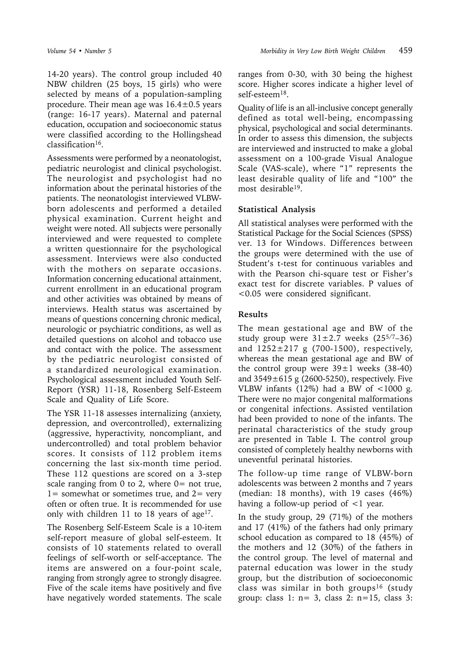14-20 years). The control group included 40 NBW children (25 boys, 15 girls) who were selected by means of a population-sampling procedure. Their mean age was  $16.4 \pm 0.5$  years (range: 16-17 years). Maternal and paternal education, occupation and socioeconomic status were classified according to the Hollingshead  $classification<sup>16</sup>$ .

Assessments were performed by a neonatologist, pediatric neurologist and clinical psychologist. The neurologist and psychologist had no information about the perinatal histories of the patients. The neonatologist interviewed VLBWborn adolescents and performed a detailed physical examination. Current height and weight were noted. All subjects were personally interviewed and were requested to complete a written questionnaire for the psychological assessment. Interviews were also conducted with the mothers on separate occasions. Information concerning educational attainment, current enrollment in an educational program and other activities was obtained by means of interviews. Health status was ascertained by means of questions concerning chronic medical, neurologic or psychiatric conditions, as well as detailed questions on alcohol and tobacco use and contact with the police. The assessment by the pediatric neurologist consisted of a standardized neurological examination. Psychological assessment included Youth Self-Report (YSR) 11-18, Rosenberg Self-Esteem Scale and Quality of Life Score.

The YSR 11-18 assesses internalizing (anxiety, depression, and overcontrolled), externalizing (aggressive, hyperactivity, noncompliant, and undercontrolled) and total problem behavior scores. It consists of 112 problem items concerning the last six-month time period. These 112 questions are scored on a 3-step scale ranging from 0 to 2, where  $0=$  not true,  $1=$  somewhat or sometimes true, and  $2=$  very often or often true. It is recommended for use only with children  $11$  to 18 years of age<sup>17</sup>.

The Rosenberg Self-Esteem Scale is a 10-item self-report measure of global self-esteem. It consists of 10 statements related to overall feelings of self-worth or self-acceptance. The items are answered on a four-point scale, ranging from strongly agree to strongly disagree. Five of the scale items have positively and five have negatively worded statements. The scale

ranges from 0-30, with 30 being the highest score. Higher scores indicate a higher level of self-esteem<sup>18</sup>.

Quality of life is an all-inclusive concept generally defined as total well-being, encompassing physical, psychological and social determinants. In order to assess this dimension, the subjects are interviewed and instructed to make a global assessment on a 100-grade Visual Analogue Scale (VAS-scale), where "1" represents the least desirable quality of life and "100" the most desirable19.

## **Statistical Analysis**

All statistical analyses were performed with the Statistical Package for the Social Sciences (SPSS) ver. 13 for Windows. Differences between the groups were determined with the use of Student's t-test for continuous variables and with the Pearson chi-square test or Fisher's exact test for discrete variables. P values of <0.05 were considered significant.

# **Results**

The mean gestational age and BW of the study group were  $31\pm2.7$  weeks (25<sup>5/7</sup>-36) and  $1252 \pm 217$  g (700-1500), respectively, whereas the mean gestational age and BW of the control group were  $39\pm1$  weeks (38-40) and  $3549\pm615$  g (2600-5250), respectively. Five VLBW infants (12%) had a BW of  $\lt$ 1000 g. There were no major congenital malformations or congenital infections. Assisted ventilation had been provided to none of the infants. The perinatal characteristics of the study group are presented in Table I. The control group consisted of completely healthy newborns with uneventful perinatal histories.

The follow-up time range of VLBW-born adolescents was between 2 months and 7 years (median: 18 months), with 19 cases (46%) having a follow-up period of <1 year.

In the study group, 29 (71%) of the mothers and 17 (41%) of the fathers had only primary school education as compared to 18 (45%) of the mothers and 12 (30%) of the fathers in the control group. The level of maternal and paternal education was lower in the study group, but the distribution of socioeconomic class was similar in both groups16 (study group: class 1: n= 3, class 2: n=15, class 3: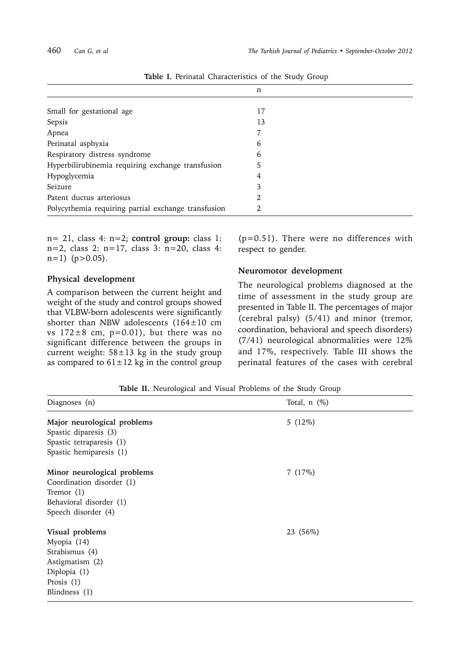|                                                     | n  |
|-----------------------------------------------------|----|
|                                                     |    |
| Small for gestational age                           | 17 |
| Sepsis                                              | 13 |
| Apnea                                               |    |
| Perinatal asphyxia                                  | 6  |
| Respiratory distress syndrome                       | 6  |
| Hyperbilirubinemia requiring exchange transfusion   | 5  |
| Hypoglycemia                                        | 4  |
| Seizure                                             | 3  |
| Patent ductus arteriosus                            | 2  |
| Polycythemia requiring partial exchange transfusion | 2  |

**Table I.** Perinatal Characteristics of the Study Group

n= 21, class 4: n=2; **control group:** class 1:  $n=2$ , class 2:  $n=17$ , class 3:  $n=20$ , class 4:  $n=1)$  ( $p>0.05$ ).

#### **Physical development**

A comparison between the current height and weight of the study and control groups showed that VLBW-born adolescents were significantly shorter than NBW adolescents (164±10 cm vs  $172\pm8$  cm,  $p=0.01$ ), but there was no significant difference between the groups in current weight:  $58 \pm 13$  kg in the study group as compared to  $61 \pm 12$  kg in the control group

(p=0.51). There were no differences with respect to gender.

#### **Neuromotor development**

The neurological problems diagnosed at the time of assessment in the study group are presented in Table II. The percentages of major (cerebral palsy) (5/41) and minor (tremor, coordination, behavioral and speech disorders) (7/41) neurological abnormalities were 12% and 17%, respectively. Table III shows the perinatal features of the cases with cerebral

**Table II.** Neurological and Visual Problems of the Study Group

| Diagnoses (n)                                                                                                              | Total, $n$ $(\%)$ |
|----------------------------------------------------------------------------------------------------------------------------|-------------------|
| Major neurological problems<br>Spastic diparesis (3)<br>Spastic tetraparesis (1)<br>Spastic hemiparesis (1)                | $5(12\%)$         |
| Minor neurological problems<br>Coordination disorder (1)<br>Tremor $(1)$<br>Behavioral disorder (1)<br>Speech disorder (4) | 7(17%)            |
| Visual problems<br>Myopia (14)<br>Strabismus (4)<br>Astigmatism (2)<br>Diplopia (1)<br>Prosis $(1)$<br>Blindness (1)       | 23 (56%)          |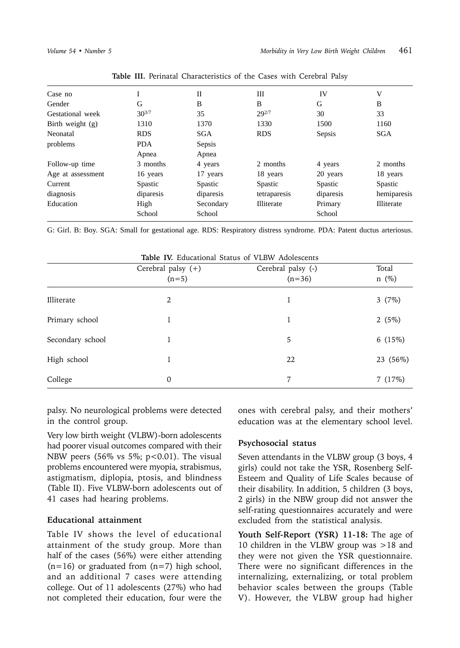| Case no            |            | П          | Ш            | IV             | V                 |
|--------------------|------------|------------|--------------|----------------|-------------------|
| Gender             | G          | B          | B            | G              | B                 |
| Gestational week   | $30^{3/7}$ | 35         | $29^{2/7}$   | 30             | 33                |
| Birth weight $(g)$ | 1310       | 1370       | 1330         | 1500           | 1160              |
| Neonatal           | <b>RDS</b> | <b>SGA</b> | <b>RDS</b>   | Sepsis         | <b>SGA</b>        |
| problems           | <b>PDA</b> | Sepsis     |              |                |                   |
|                    | Apnea      | Apnea      |              |                |                   |
| Follow-up time     | 3 months   | 4 years    | 2 months     | 4 years        | 2 months          |
| Age at assessment  | 16 years   | 17 years   | 18 years     | 20 years       | 18 years          |
| Current            | Spastic    | Spastic    | Spastic      | <b>Spastic</b> | Spastic           |
| diagnosis          | diparesis  | diparesis  | tetraparesis | diparesis      | hemiparesis       |
| Education          | High       | Secondary  | Illiterate   | Primary        | <b>Illiterate</b> |
|                    | School     | School     |              | School         |                   |
|                    |            |            |              |                |                   |

**Table III.** Perinatal Characteristics of the Cases with Cerebral Palsy

G: Girl. B: Boy. SGA: Small for gestational age. RDS: Respiratory distress syndrome. PDA: Patent ductus arteriosus.

|                  | <b>Table IV.</b> Educational Status of VLBW Adolescents |                    |            |  |
|------------------|---------------------------------------------------------|--------------------|------------|--|
|                  | Cerebral palsy $(+)$                                    | Cerebral palsy (-) | Total      |  |
|                  | $(n=5)$                                                 | $(n=36)$           | $n \ (\%)$ |  |
| Illiterate       | 2                                                       | 1                  | 3 $(7%)$   |  |
| Primary school   |                                                         | 1                  | 2 $(5%)$   |  |
| Secondary school |                                                         | 5                  | 6 $(15%)$  |  |
| High school      |                                                         | 22                 | 23 (56%)   |  |
| College          | 0                                                       | 7                  | 7(17%)     |  |

palsy. No neurological problems were detected in the control group.

Very low birth weight (VLBW)-born adolescents had poorer visual outcomes compared with their NBW peers (56% vs 5%;  $p < 0.01$ ). The visual problems encountered were myopia, strabismus, astigmatism, diplopia, ptosis, and blindness (Table II). Five VLBW-born adolescents out of 41 cases had hearing problems.

### **Educational attainment**

Table IV shows the level of educational attainment of the study group. More than half of the cases (56%) were either attending  $(n=16)$  or graduated from  $(n=7)$  high school, and an additional 7 cases were attending college. Out of 11 adolescents (27%) who had not completed their education, four were the

ones with cerebral palsy, and their mothers' education was at the elementary school level.

### **Psychosocial status**

Seven attendants in the VLBW group (3 boys, 4 girls) could not take the YSR, Rosenberg Self-Esteem and Quality of Life Scales because of their disability. In addition, 5 children (3 boys, 2 girls) in the NBW group did not answer the self-rating questionnaires accurately and were excluded from the statistical analysis.

**Youth Self-Report (YSR) 11-18:** The age of 10 children in the VLBW group was >18 and they were not given the YSR questionnaire. There were no significant differences in the internalizing, externalizing, or total problem behavior scales between the groups (Table V). However, the VLBW group had higher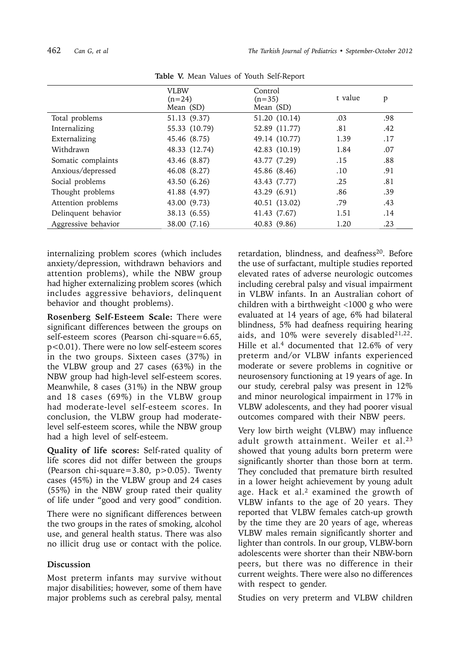|                     | <b>VLBW</b><br>$(n=24)$<br>Mean (SD) | Control<br>$(n=35)$<br>Mean (SD) | t value | p   |
|---------------------|--------------------------------------|----------------------------------|---------|-----|
| Total problems      | 51.13 (9.37)                         | 51.20 (10.14)                    | .03     | .98 |
| Internalizing       | 55.33 (10.79)                        | 52.89 (11.77)                    | .81     | .42 |
| Externalizing       | 45.46 (8.75)                         | 49.14 (10.77)                    | 1.39    | .17 |
| Withdrawn           | 48.33 (12.74)                        | 42.83 (10.19)                    | 1.84    | .07 |
| Somatic complaints  | 43.46 (8.87)                         | 43.77 (7.29)                     | .15     | .88 |
| Anxious/depressed   | 46.08 (8.27)                         | 45.86 (8.46)                     | .10     | .91 |
| Social problems     | 43.50 (6.26)                         | 43.43 (7.77)                     | .25     | .81 |
| Thought problems    | 41.88 (4.97)                         | 43.29 (6.91)                     | .86     | .39 |
| Attention problems  | 43.00 (9.73)                         | 40.51 (13.02)                    | .79     | .43 |
| Delinquent behavior | 38.13 (6.55)                         | 41.43 (7.67)                     | 1.51    | .14 |
| Aggressive behavior | 38.00 (7.16)                         | 40.83 (9.86)                     | 1.20    | .23 |

**Table V.** Mean Values of Youth Self-Report

internalizing problem scores (which includes anxiety/depression, withdrawn behaviors and attention problems), while the NBW group had higher externalizing problem scores (which includes aggressive behaviors, delinquent behavior and thought problems).

**Rosenberg Self-Esteem Scale:** There were significant differences between the groups on self-esteem scores (Pearson chi-square=6.65, p<0.01). There were no low self-esteem scores in the two groups. Sixteen cases (37%) in the VLBW group and 27 cases (63%) in the NBW group had high-level self-esteem scores. Meanwhile, 8 cases (31%) in the NBW group and 18 cases (69%) in the VLBW group had moderate-level self-esteem scores. In conclusion, the VLBW group had moderatelevel self-esteem scores, while the NBW group had a high level of self-esteem.

**Quality of life scores:** Self-rated quality of life scores did not differ between the groups (Pearson chi-square=3.80, p>0.05). Twenty cases (45%) in the VLBW group and 24 cases (55%) in the NBW group rated their quality of life under "good and very good" condition.

There were no significant differences between the two groups in the rates of smoking, alcohol use, and general health status. There was also no illicit drug use or contact with the police.

# **Discussion**

Most preterm infants may survive without major disabilities; however, some of them have major problems such as cerebral palsy, mental

retardation, blindness, and deafness<sup>20</sup>. Before the use of surfactant, multiple studies reported elevated rates of adverse neurologic outcomes including cerebral palsy and visual impairment in VLBW infants. In an Australian cohort of children with a birthweight  $<1000$  g who were evaluated at 14 years of age, 6% had bilateral blindness, 5% had deafness requiring hearing aids, and 10% were severely disabled21,22. Hille et al.<sup>4</sup> documented that  $12.6\%$  of very preterm and/or VLBW infants experienced moderate or severe problems in cognitive or neurosensory functioning at 19 years of age. In our study, cerebral palsy was present in 12% and minor neurological impairment in 17% in VLBW adolescents, and they had poorer visual outcomes compared with their NBW peers.

Very low birth weight (VLBW) may influence adult growth attainment. Weiler et al.<sup>23</sup> showed that young adults born preterm were significantly shorter than those born at term. They concluded that premature birth resulted in a lower height achievement by young adult age. Hack et al.<sup>2</sup> examined the growth of VLBW infants to the age of 20 years. They reported that VLBW females catch-up growth by the time they are 20 years of age, whereas VLBW males remain significantly shorter and lighter than controls. In our group, VLBW-born adolescents were shorter than their NBW-born peers, but there was no difference in their current weights. There were also no differences with respect to gender.

Studies on very preterm and VLBW children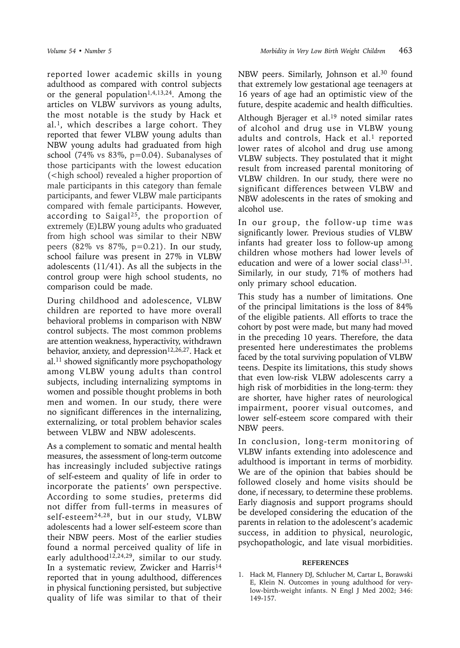reported lower academic skills in young adulthood as compared with control subjects or the general population<sup>1,4,13,24</sup>. Among the articles on VLBW survivors as young adults, the most notable is the study by Hack et al.1, which describes a large cohort. They reported that fewer VLBW young adults than NBW young adults had graduated from high school (74% vs 83%, p=0.04). Subanalyses of those participants with the lowest education (<high school) revealed a higher proportion of male participants in this category than female participants, and fewer VLBW male participants compared with female participants. However, according to Saigal25, the proportion of extremely (E)LBW young adults who graduated from high school was similar to their NBW peers (82% vs 87%, p=0.21). In our study, school failure was present in 27% in VLBW adolescents (11/41). As all the subjects in the control group were high school students, no comparison could be made.

During childhood and adolescence, VLBW children are reported to have more overall behavioral problems in comparison with NBW control subjects. The most common problems are attention weakness, hyperactivity, withdrawn behavior, anxiety, and depression<sup>12,26,27</sup>. Hack et al.11 showed significantly more psychopathology among VLBW young adults than control subjects, including internalizing symptoms in women and possible thought problems in both men and women. In our study, there were no significant differences in the internalizing, externalizing, or total problem behavior scales between VLBW and NBW adolescents.

As a complement to somatic and mental health measures, the assessment of long-term outcome has increasingly included subjective ratings of self-esteem and quality of life in order to incorporate the patients' own perspective. According to some studies, preterms did not differ from full-terms in measures of self-esteem24,28, but in our study, VLBW adolescents had a lower self-esteem score than their NBW peers. Most of the earlier studies found a normal perceived quality of life in early adulthood<sup>12,24,29</sup>, similar to our study. In a systematic review, Zwicker and Harris<sup>14</sup> reported that in young adulthood, differences in physical functioning persisted, but subjective quality of life was similar to that of their

NBW peers. Similarly, Johnson et al.<sup>30</sup> found that extremely low gestational age teenagers at 16 years of age had an optimistic view of the future, despite academic and health difficulties.

Although Bjerager et al.19 noted similar rates of alcohol and drug use in VLBW young adults and controls, Hack et al. $<sup>1</sup>$  reported</sup> lower rates of alcohol and drug use among VLBW subjects. They postulated that it might result from increased parental monitoring of VLBW children. In our study, there were no significant differences between VLBW and NBW adolescents in the rates of smoking and alcohol use.

In our group, the follow-up time was significantly lower. Previous studies of VLBW infants had greater loss to follow-up among children whose mothers had lower levels of education and were of a lower social class<sup> $1,31$ </sup>. Similarly, in our study, 71% of mothers had only primary school education.

This study has a number of limitations. One of the principal limitations is the loss of 84% of the eligible patients. All efforts to trace the cohort by post were made, but many had moved in the preceding 10 years. Therefore, the data presented here underestimates the problems faced by the total surviving population of VLBW teens. Despite its limitations, this study shows that even low-risk VLBW adolescents carry a high risk of morbidities in the long-term: they are shorter, have higher rates of neurological impairment, poorer visual outcomes, and lower self-esteem score compared with their NBW peers.

In conclusion, long-term monitoring of VLBW infants extending into adolescence and adulthood is important in terms of morbidity. We are of the opinion that babies should be followed closely and home visits should be done, if necessary, to determine these problems. Early diagnosis and support programs should be developed considering the education of the parents in relation to the adolescent's academic success, in addition to physical, neurologic, psychopathologic, and late visual morbidities.

#### **REFERENCES**

1. Hack M, Flannery DJ, Schlucher M, Cartar L, Borawski E, Klein N. Outcomes in young adulthood for verylow-birth-weight infants. N Engl J Med 2002; 346: 149-157.